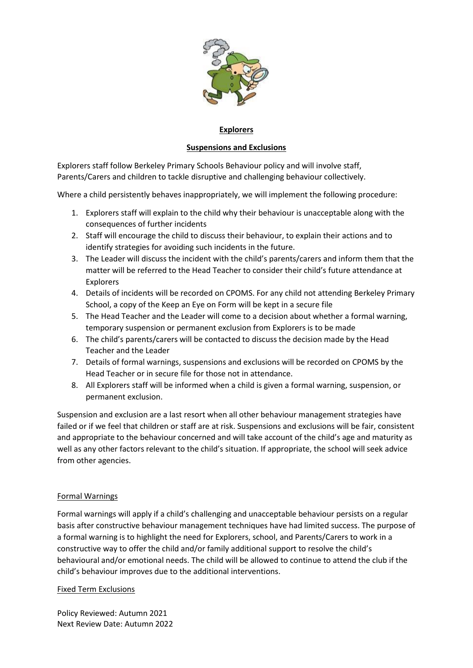

# **Explorers**

# **Suspensions and Exclusions**

Explorers staff follow Berkeley Primary Schools Behaviour policy and will involve staff, Parents/Carers and children to tackle disruptive and challenging behaviour collectively.

Where a child persistently behaves inappropriately, we will implement the following procedure:

- 1. Explorers staff will explain to the child why their behaviour is unacceptable along with the consequences of further incidents
- 2. Staff will encourage the child to discuss their behaviour, to explain their actions and to identify strategies for avoiding such incidents in the future.
- 3. The Leader will discuss the incident with the child's parents/carers and inform them that the matter will be referred to the Head Teacher to consider their child's future attendance at Explorers
- 4. Details of incidents will be recorded on CPOMS. For any child not attending Berkeley Primary School, a copy of the Keep an Eye on Form will be kept in a secure file
- 5. The Head Teacher and the Leader will come to a decision about whether a formal warning, temporary suspension or permanent exclusion from Explorers is to be made
- 6. The child's parents/carers will be contacted to discuss the decision made by the Head Teacher and the Leader
- 7. Details of formal warnings, suspensions and exclusions will be recorded on CPOMS by the Head Teacher or in secure file for those not in attendance.
- 8. All Explorers staff will be informed when a child is given a formal warning, suspension, or permanent exclusion.

Suspension and exclusion are a last resort when all other behaviour management strategies have failed or if we feel that children or staff are at risk. Suspensions and exclusions will be fair, consistent and appropriate to the behaviour concerned and will take account of the child's age and maturity as well as any other factors relevant to the child's situation. If appropriate, the school will seek advice from other agencies.

## Formal Warnings

Formal warnings will apply if a child's challenging and unacceptable behaviour persists on a regular basis after constructive behaviour management techniques have had limited success. The purpose of a formal warning is to highlight the need for Explorers, school, and Parents/Carers to work in a constructive way to offer the child and/or family additional support to resolve the child's behavioural and/or emotional needs. The child will be allowed to continue to attend the club if the child's behaviour improves due to the additional interventions.

### Fixed Term Exclusions

Policy Reviewed: Autumn 2021 Next Review Date: Autumn 2022